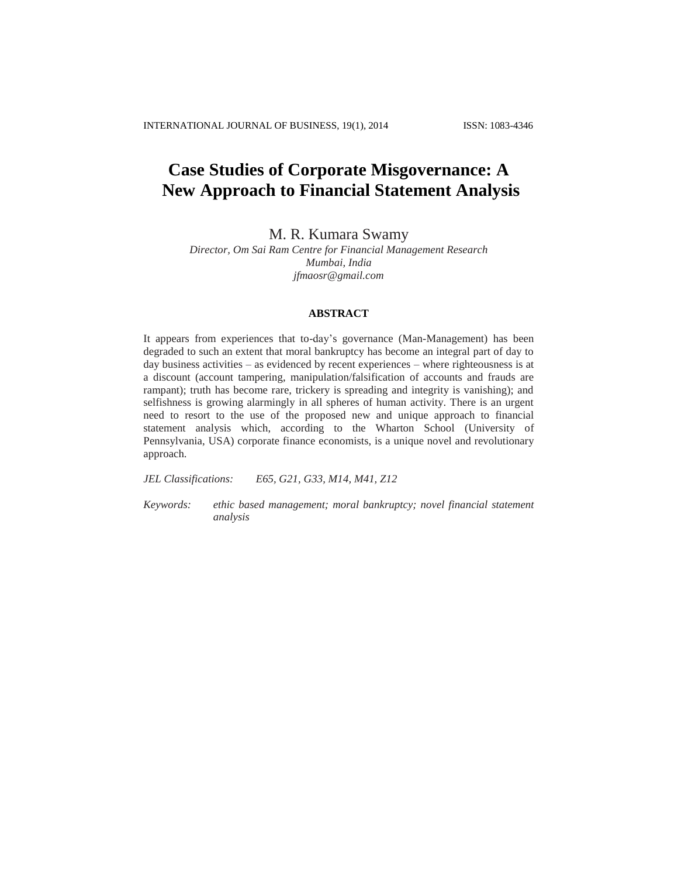# **Case Studies of Corporate Misgovernance: A New Approach to Financial Statement Analysis**

M. R. Kumara Swamy

*Director, Om Sai Ram Centre for Financial Management Research Mumbai, India jfmaosr@gmail.com*

# **ABSTRACT**

It appears from experiences that to-day's governance (Man-Management) has been degraded to such an extent that moral bankruptcy has become an integral part of day to day business activities – as evidenced by recent experiences – where righteousness is at a discount (account tampering, manipulation/falsification of accounts and frauds are rampant); truth has become rare, trickery is spreading and integrity is vanishing); and selfishness is growing alarmingly in all spheres of human activity. There is an urgent need to resort to the use of the proposed new and unique approach to financial statement analysis which, according to the Wharton School (University of Pennsylvania, USA) corporate finance economists, is a unique novel and revolutionary approach.

*JEL Classifications: E65, G21, G33, M14, M41, Z12*

*Keywords: ethic based management; moral bankruptcy; novel financial statement analysis*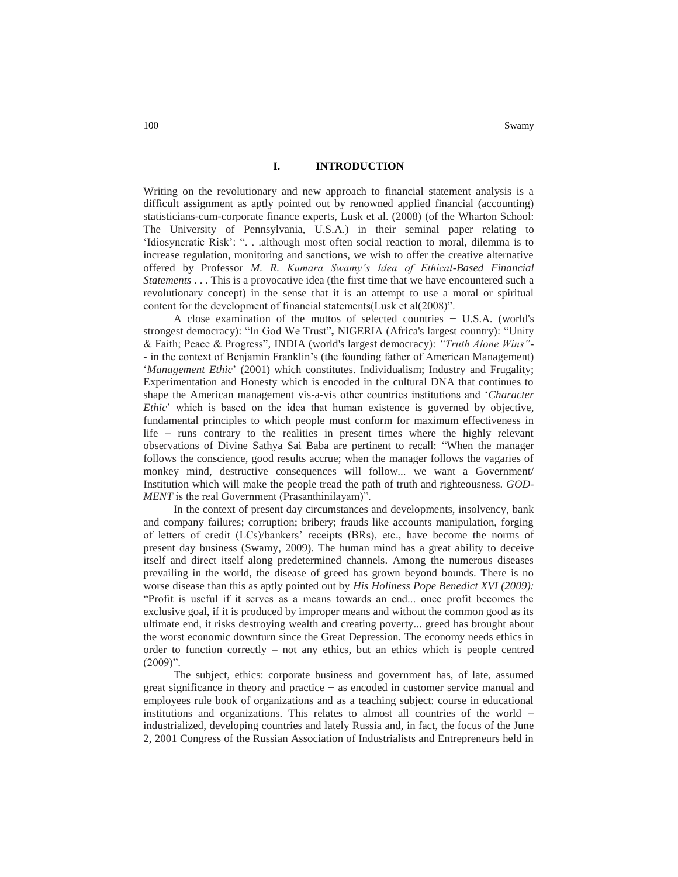## **I. INTRODUCTION**

Writing on the revolutionary and new approach to financial statement analysis is a difficult assignment as aptly pointed out by renowned applied financial (accounting) statisticians-cum-corporate finance experts, Lusk et al. (2008) (of the Wharton School: The University of Pennsylvania, U.S.A.) in their seminal paper relating to 'Idiosyncratic Risk': ". . .although most often social reaction to moral, dilemma is to increase regulation, monitoring and sanctions, we wish to offer the creative alternative offered by Professor *M. R. Kumara Swamy's Idea of Ethical-Based Financial Statements* . . . This is a provocative idea (the first time that we have encountered such a revolutionary concept) in the sense that it is an attempt to use a moral or spiritual content for the development of financial statements(Lusk et al(2008)".

A close examination of the mottos of selected countries **−** U.S.A. (world's strongest democracy): "In God We Trust"**,** NIGERIA (Africa's largest country): "Unity & Faith; Peace & Progress", INDIA (world's largest democracy): *"Truth Alone Wins"***- -** in the context of Benjamin Franklin's (the founding father of American Management) '*Management Ethic*' (2001) which constitutes. Individualism; Industry and Frugality; Experimentation and Honesty which is encoded in the cultural DNA that continues to shape the American management vis-a-vis other countries institutions and '*Character Ethic*' which is based on the idea that human existence is governed by objective, fundamental principles to which people must conform for maximum effectiveness in life **−** runs contrary to the realities in present times where the highly relevant observations of Divine Sathya Sai Baba are pertinent to recall: "When the manager follows the conscience, good results accrue; when the manager follows the vagaries of monkey mind, destructive consequences will follow... we want a Government/ Institution which will make the people tread the path of truth and righteousness. *GOD-MENT* is the real Government (Prasanthinilayam)".

In the context of present day circumstances and developments, insolvency, bank and company failures; corruption; bribery; frauds like accounts manipulation, forging of letters of credit (LCs)/bankers' receipts (BRs), etc., have become the norms of present day business (Swamy, 2009). The human mind has a great ability to deceive itself and direct itself along predetermined channels. Among the numerous diseases prevailing in the world, the disease of greed has grown beyond bounds. There is no worse disease than this as aptly pointed out by *His Holiness Pope Benedict XVI (2009):* "Profit is useful if it serves as a means towards an end... once profit becomes the exclusive goal, if it is produced by improper means and without the common good as its ultimate end, it risks destroying wealth and creating poverty... greed has brought about the worst economic downturn since the Great Depression. The economy needs ethics in order to function correctly – not any ethics, but an ethics which is people centred  $(2009)$ ".

The subject, ethics: corporate business and government has, of late, assumed great significance in theory and practice **−** as encoded in customer service manual and employees rule book of organizations and as a teaching subject: course in educational institutions and organizations. This relates to almost all countries of the world **−** industrialized, developing countries and lately Russia and, in fact, the focus of the June 2, 2001 Congress of the Russian Association of Industrialists and Entrepreneurs held in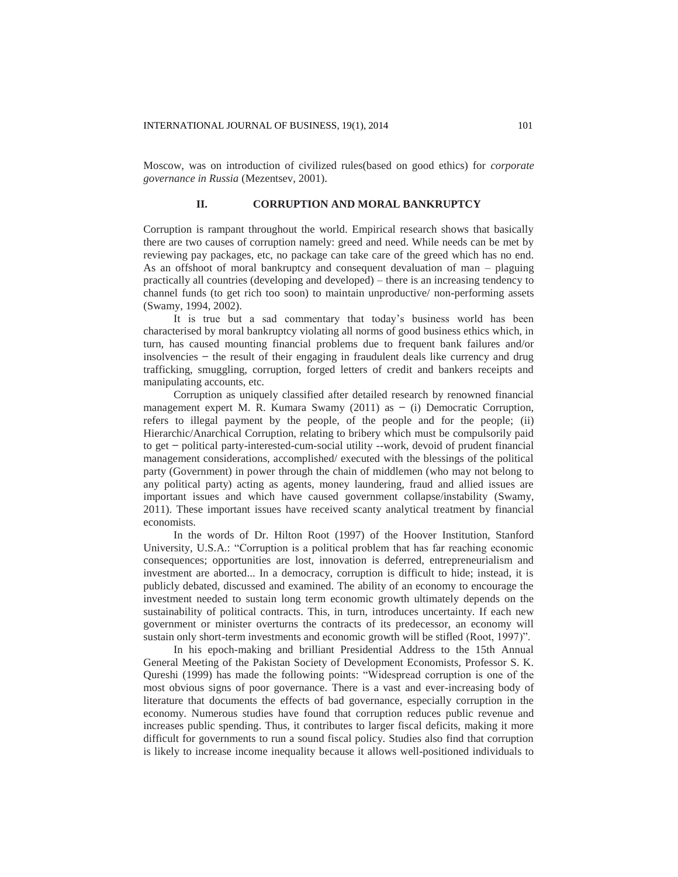Moscow, was on introduction of civilized rules(based on good ethics) for *corporate governance in Russia* (Mezentsev, 2001).

# **II. CORRUPTION AND MORAL BANKRUPTCY**

Corruption is rampant throughout the world. Empirical research shows that basically there are two causes of corruption namely: greed and need. While needs can be met by reviewing pay packages, etc, no package can take care of the greed which has no end. As an offshoot of moral bankruptcy and consequent devaluation of man – plaguing practically all countries (developing and developed) – there is an increasing tendency to channel funds (to get rich too soon) to maintain unproductive/ non-performing assets (Swamy, 1994, 2002).

It is true but a sad commentary that today's business world has been characterised by moral bankruptcy violating all norms of good business ethics which, in turn, has caused mounting financial problems due to frequent bank failures and/or insolvencies **−** the result of their engaging in fraudulent deals like currency and drug trafficking, smuggling, corruption, forged letters of credit and bankers receipts and manipulating accounts, etc.

Corruption as uniquely classified after detailed research by renowned financial management expert M. R. Kumara Swamy (2011) as **−** (i) Democratic Corruption, refers to illegal payment by the people, of the people and for the people; (ii) Hierarchic/Anarchical Corruption, relating to bribery which must be compulsorily paid to get **−** political party-interested-cum-social utility --work, devoid of prudent financial management considerations, accomplished/ executed with the blessings of the political party (Government) in power through the chain of middlemen (who may not belong to any political party) acting as agents, money laundering, fraud and allied issues are important issues and which have caused government collapse/instability (Swamy, 2011). These important issues have received scanty analytical treatment by financial economists.

In the words of Dr. Hilton Root (1997) of the Hoover Institution, Stanford University, U.S.A.: "Corruption is a political problem that has far reaching economic consequences; opportunities are lost, innovation is deferred, entrepreneurialism and investment are aborted... In a democracy, corruption is difficult to hide; instead, it is publicly debated, discussed and examined. The ability of an economy to encourage the investment needed to sustain long term economic growth ultimately depends on the sustainability of political contracts. This, in turn, introduces uncertainty. If each new government or minister overturns the contracts of its predecessor, an economy will sustain only short-term investments and economic growth will be stifled (Root, 1997)".

In his epoch-making and brilliant Presidential Address to the 15th Annual General Meeting of the Pakistan Society of Development Economists, Professor S. K. Qureshi (1999) has made the following points: "Widespread corruption is one of the most obvious signs of poor governance. There is a vast and ever-increasing body of literature that documents the effects of bad governance, especially corruption in the economy. Numerous studies have found that corruption reduces public revenue and increases public spending. Thus, it contributes to larger fiscal deficits, making it more difficult for governments to run a sound fiscal policy. Studies also find that corruption is likely to increase income inequality because it allows well-positioned individuals to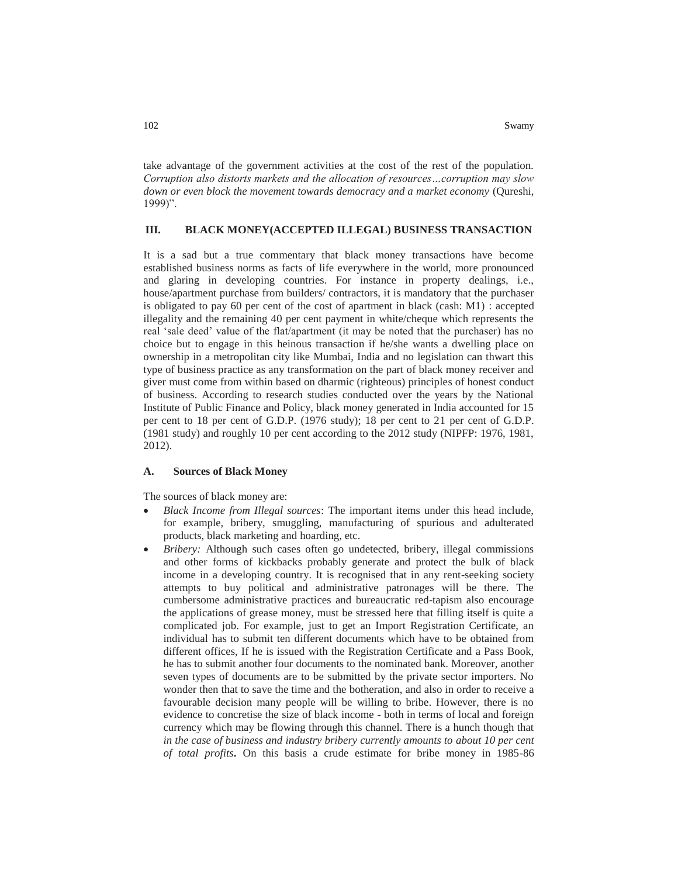take advantage of the government activities at the cost of the rest of the population. *Corruption also distorts markets and the allocation of resources…corruption may slow down or even block the movement towards democracy and a market economy* (Qureshi, 1999)".

# **III. BLACK MONEY(ACCEPTED ILLEGAL) BUSINESS TRANSACTION**

It is a sad but a true commentary that black money transactions have become established business norms as facts of life everywhere in the world, more pronounced and glaring in developing countries. For instance in property dealings, i.e., house/apartment purchase from builders/ contractors, it is mandatory that the purchaser is obligated to pay 60 per cent of the cost of apartment in black (cash: M1) : accepted illegality and the remaining 40 per cent payment in white/cheque which represents the real 'sale deed' value of the flat/apartment (it may be noted that the purchaser) has no choice but to engage in this heinous transaction if he/she wants a dwelling place on ownership in a metropolitan city like Mumbai, India and no legislation can thwart this type of business practice as any transformation on the part of black money receiver and giver must come from within based on dharmic (righteous) principles of honest conduct of business. According to research studies conducted over the years by the National Institute of Public Finance and Policy, black money generated in India accounted for 15 per cent to 18 per cent of G.D.P. (1976 study); 18 per cent to 21 per cent of G.D.P. (1981 study) and roughly 10 per cent according to the 2012 study (NIPFP: 1976, 1981, 2012).

## **A. Sources of Black Money**

The sources of black money are:

- *Black Income from Illegal sources*: The important items under this head include, for example, bribery, smuggling, manufacturing of spurious and adulterated products, black marketing and hoarding, etc.
- *Bribery:* Although such cases often go undetected, bribery, illegal commissions and other forms of kickbacks probably generate and protect the bulk of black income in a developing country. It is recognised that in any rent-seeking society attempts to buy political and administrative patronages will be there. The cumbersome administrative practices and bureaucratic red-tapism also encourage the applications of grease money, must be stressed here that filling itself is quite a complicated job. For example, just to get an Import Registration Certificate, an individual has to submit ten different documents which have to be obtained from different offices, If he is issued with the Registration Certificate and a Pass Book, he has to submit another four documents to the nominated bank. Moreover, another seven types of documents are to be submitted by the private sector importers. No wonder then that to save the time and the botheration, and also in order to receive a favourable decision many people will be willing to bribe. However, there is no evidence to concretise the size of black income - both in terms of local and foreign currency which may be flowing through this channel. There is a hunch though that *in the case of business and industry bribery currently amounts to about 10 per cent of total profits***.** On this basis a crude estimate for bribe money in 1985-86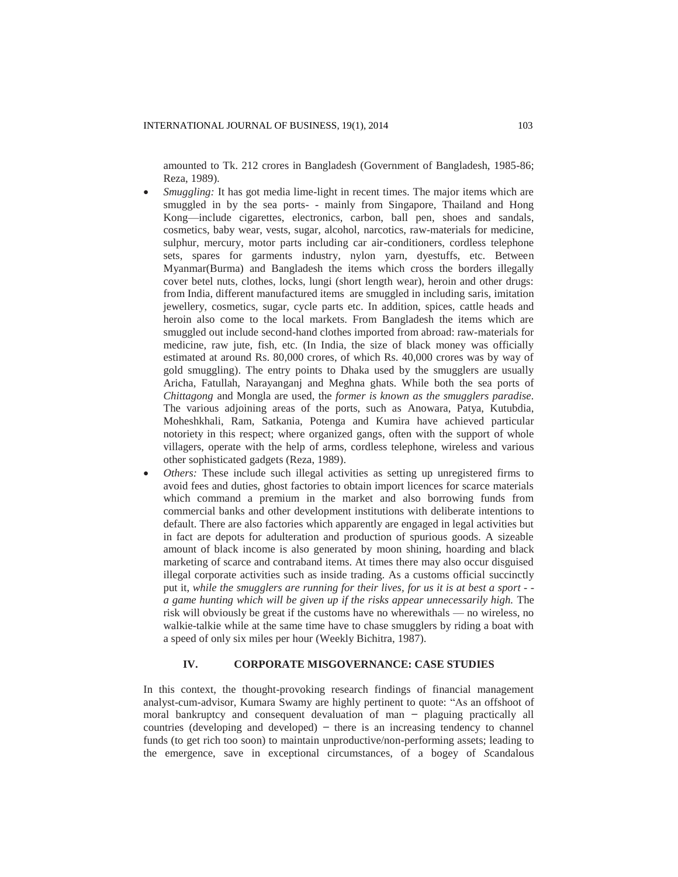amounted to Tk. 212 crores in Bangladesh (Government of Bangladesh, 1985-86; Reza, 1989).

- *Smuggling:* It has got media lime-light in recent times. The major items which are smuggled in by the sea ports- - mainly from Singapore, Thailand and Hong Kong—include cigarettes, electronics, carbon, ball pen, shoes and sandals, cosmetics, baby wear, vests, sugar, alcohol, narcotics, raw-materials for medicine, sulphur, mercury, motor parts including car air-conditioners, cordless telephone sets, spares for garments industry, nylon yarn, dyestuffs, etc. Between Myanmar(Burma) and Bangladesh the items which cross the borders illegally cover betel nuts, clothes, locks, lungi (short length wear), heroin and other drugs: from India, different manufactured items are smuggled in including saris, imitation jewellery, cosmetics, sugar, cycle parts etc. In addition, spices, cattle heads and heroin also come to the local markets. From Bangladesh the items which are smuggled out include second-hand clothes imported from abroad: raw-materials for medicine, raw jute, fish, etc. (In India, the size of black money was officially estimated at around Rs. 80,000 crores, of which Rs. 40,000 crores was by way of gold smuggling). The entry points to Dhaka used by the smugglers are usually Aricha, Fatullah, Narayanganj and Meghna ghats. While both the sea ports of *Chittagong* and Mongla are used, the *former is known as the smugglers paradise.* The various adjoining areas of the ports, such as Anowara, Patya, Kutubdia, Moheshkhali, Ram, Satkania, Potenga and Kumira have achieved particular notoriety in this respect; where organized gangs, often with the support of whole villagers, operate with the help of arms, cordless telephone, wireless and various other sophisticated gadgets (Reza, 1989).
- *Others:* These include such illegal activities as setting up unregistered firms to avoid fees and duties, ghost factories to obtain import licences for scarce materials which command a premium in the market and also borrowing funds from commercial banks and other development institutions with deliberate intentions to default. There are also factories which apparently are engaged in legal activities but in fact are depots for adulteration and production of spurious goods. A sizeable amount of black income is also generated by moon shining, hoarding and black marketing of scarce and contraband items. At times there may also occur disguised illegal corporate activities such as inside trading. As a customs official succinctly put it, *while the smugglers are running for their lives, for us it is at best a sport - a game hunting which will be given up if the risks appear unnecessarily high.* The risk will obviously be great if the customs have no wherewithals — no wireless, no walkie-talkie while at the same time have to chase smugglers by riding a boat with a speed of only six miles per hour (Weekly Bichitra, 1987).

# **IV. CORPORATE MISGOVERNANCE: CASE STUDIES**

In this context, the thought-provoking research findings of financial management analyst-cum-advisor, Kumara Swamy are highly pertinent to quote: "As an offshoot of moral bankruptcy and consequent devaluation of man **−** plaguing practically all countries (developing and developed) **−** there is an increasing tendency to channel funds (to get rich too soon) to maintain unproductive/non-performing assets; leading to the emergence, save in exceptional circumstances, of a bogey of *S*candalous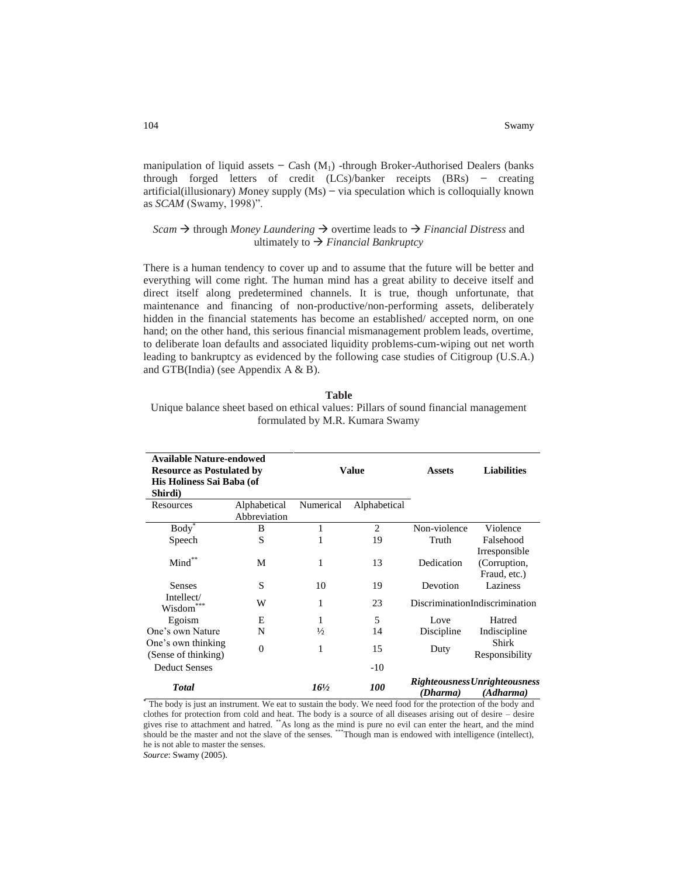manipulation of liquid assets **−** *C*ash (M1) -through Broker-*A*uthorised Dealers (banks through forged letters of credit (LCs)/banker receipts (BRs) **−** creating artificial(illusionary) *M*oney supply (Ms) **−** via speculation which is colloquially known as *SCAM* (Swamy, 1998)".

# *Scam*  $\rightarrow$  through *Money Laundering*  $\rightarrow$  overtime leads to  $\rightarrow$  *Financial Distress* and ultimately to  $\rightarrow$  *Financial Bankruptcy*

There is a human tendency to cover up and to assume that the future will be better and everything will come right. The human mind has a great ability to deceive itself and direct itself along predetermined channels. It is true, though unfortunate, that maintenance and financing of non-productive/non-performing assets, deliberately hidden in the financial statements has become an established/ accepted norm, on one hand; on the other hand, this serious financial mismanagement problem leads, overtime, to deliberate loan defaults and associated liquidity problems-cum-wiping out net worth leading to bankruptcy as evidenced by the following case studies of Citigroup (U.S.A.) and GTB(India) (see Appendix A & B).

**Table** Unique balance sheet based on ethical values: Pillars of sound financial management formulated by M.R. Kumara Swamy

| <b>Available Nature-endowed</b>           |                              |                 |              |                                                               |                                |
|-------------------------------------------|------------------------------|-----------------|--------------|---------------------------------------------------------------|--------------------------------|
| <b>Resource as Postulated by</b>          |                              | Value           |              | <b>Assets</b>                                                 | <b>Liabilities</b>             |
| His Holiness Sai Baba (of                 |                              |                 |              |                                                               |                                |
| Shirdi)                                   |                              |                 |              |                                                               |                                |
| Resources                                 | Alphabetical<br>Abbreviation | Numerical       | Alphabetical |                                                               |                                |
| Body <sup>*</sup>                         | B                            |                 | 2            | Non-violence                                                  | Violence                       |
| Speech                                    | S                            |                 | 19           | Truth                                                         | Falsehood<br>Irresponsible     |
| Mind**                                    | М                            | 1               | 13           | Dedication                                                    | (Corruption,<br>Fraud, etc.)   |
| <b>Senses</b>                             | S                            | 10              | 19           | Devotion                                                      | Laziness                       |
| Intellect/<br>Wisdom                      | W                            | 1               | 23           |                                                               | DiscriminationIndiscrimination |
| Egoism                                    | E                            | 1               | 5            | Love                                                          | Hatred                         |
| One's own Nature                          | N                            | $\frac{1}{2}$   | 14           | Discipline                                                    | Indiscipline                   |
| One's own thinking<br>(Sense of thinking) | $\Omega$                     | 1               | 15           | Duty                                                          | Shirk<br>Responsibility        |
| <b>Deduct Senses</b>                      |                              |                 | -10          |                                                               |                                |
| <b>Total</b>                              |                              | $16\frac{1}{2}$ | <i>100</i>   | <b>Righteousness Unrighteousness</b><br>(Dharma)<br>(Adharma) |                                |

**\*** The body is just an instrument. We eat to sustain the body. We need food for the protection of the body and clothes for protection from cold and heat. The body is a source of all diseases arising out of desire – desire gives rise to attachment and hatred. \*\*As long as the mind is pure no evil can enter the heart, and the mind should be the master and not the slave of the senses. \*\*\*Though man is endowed with intelligence (intellect), he is not able to master the senses.

*Source*: Swamy (2005).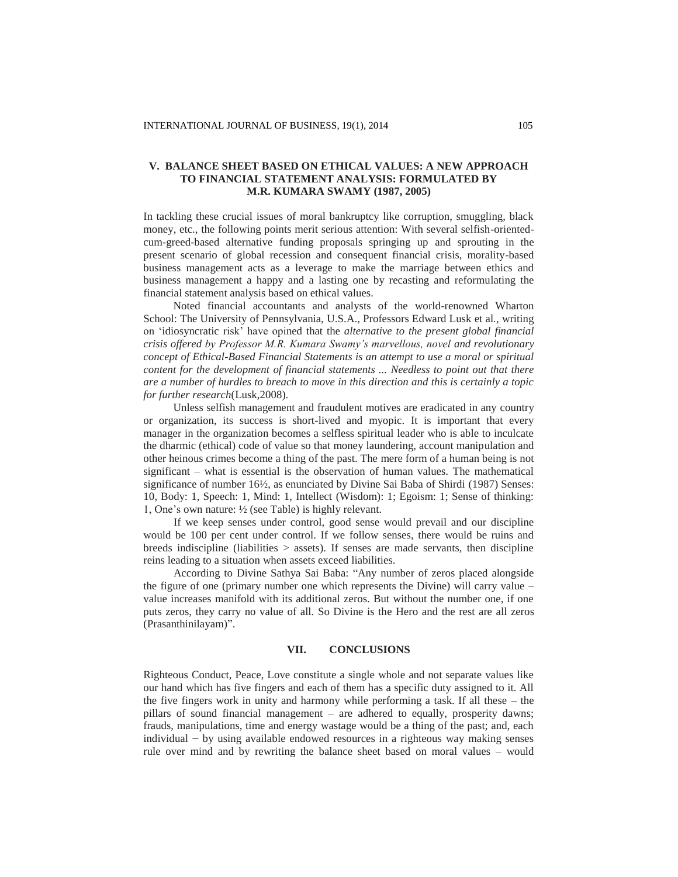# **V. BALANCE SHEET BASED ON ETHICAL VALUES: A NEW APPROACH TO FINANCIAL STATEMENT ANALYSIS: FORMULATED BY M.R. KUMARA SWAMY (1987, 2005)**

In tackling these crucial issues of moral bankruptcy like corruption, smuggling, black money, etc., the following points merit serious attention: With several selfish-orientedcum-greed-based alternative funding proposals springing up and sprouting in the present scenario of global recession and consequent financial crisis, morality-based business management acts as a leverage to make the marriage between ethics and business management a happy and a lasting one by recasting and reformulating the financial statement analysis based on ethical values.

Noted financial accountants and analysts of the world-renowned Wharton School: The University of Pennsylvania, U.S.A., Professors Edward Lusk et al*.*, writing on 'idiosyncratic risk' have opined that the *alternative to the present global financial crisis offered by Professor M.R. Kumara Swamy's marvellous, novel and revolutionary concept of Ethical-Based Financial Statements is an attempt to use a moral or spiritual content for the development of financial statements ... Needless to point out that there are a number of hurdles to breach to move in this direction and this is certainly a topic for further research*(Lusk,2008)*.*

Unless selfish management and fraudulent motives are eradicated in any country or organization, its success is short-lived and myopic. It is important that every manager in the organization becomes a selfless spiritual leader who is able to inculcate the dharmic (ethical) code of value so that money laundering, account manipulation and other heinous crimes become a thing of the past. The mere form of a human being is not significant – what is essential is the observation of human values. The mathematical significance of number 16½, as enunciated by Divine Sai Baba of Shirdi (1987) Senses: 10, Body: 1, Speech: 1, Mind: 1, Intellect (Wisdom): 1; Egoism: 1; Sense of thinking: 1, One's own nature: ½ (see Table) is highly relevant.

If we keep senses under control, good sense would prevail and our discipline would be 100 per cent under control. If we follow senses, there would be ruins and breeds indiscipline (liabilities  $>$  assets). If senses are made servants, then discipline reins leading to a situation when assets exceed liabilities.

According to Divine Sathya Sai Baba: "Any number of zeros placed alongside the figure of one (primary number one which represents the Divine) will carry value – value increases manifold with its additional zeros. But without the number one, if one puts zeros, they carry no value of all. So Divine is the Hero and the rest are all zeros (Prasanthinilayam)".

# **VII. CONCLUSIONS**

Righteous Conduct, Peace, Love constitute a single whole and not separate values like our hand which has five fingers and each of them has a specific duty assigned to it. All the five fingers work in unity and harmony while performing a task. If all these – the pillars of sound financial management – are adhered to equally, prosperity dawns; frauds, manipulations, time and energy wastage would be a thing of the past; and, each individual **−** by using available endowed resources in a righteous way making senses rule over mind and by rewriting the balance sheet based on moral values – would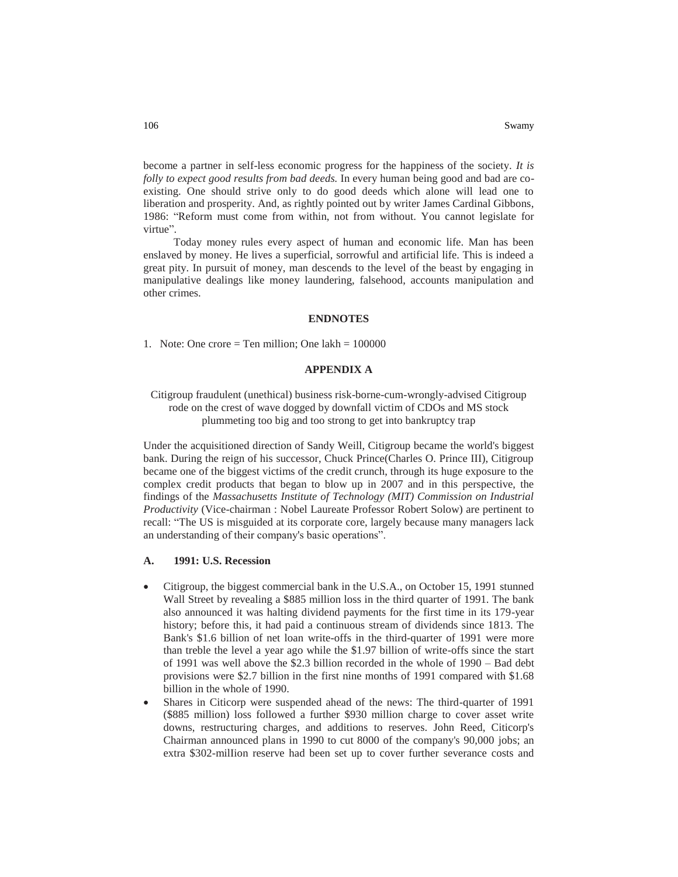become a partner in self-less economic progress for the happiness of the society. *It is folly to expect good results from bad deeds.* In every human being good and bad are coexisting. One should strive only to do good deeds which alone will lead one to liberation and prosperity. And, as rightly pointed out by writer James Cardinal Gibbons, 1986: "Reform must come from within, not from without. You cannot legislate for virtue".

Today money rules every aspect of human and economic life. Man has been enslaved by money. He lives a superficial, sorrowful and artificial life. This is indeed a great pity. In pursuit of money, man descends to the level of the beast by engaging in manipulative dealings like money laundering, falsehood, accounts manipulation and other crimes.

#### **ENDNOTES**

1. Note: One crore = Ten million; One lakh =  $100000$ 

# **APPENDIX A**

# Citigroup fraudulent (unethical) business risk-borne-cum-wrongly-advised Citigroup rode on the crest of wave dogged by downfall victim of CDOs and MS stock plummeting too big and too strong to get into bankruptcy trap

Under the acquisitioned direction of Sandy Weill, Citigroup became the world's biggest bank. During the reign of his successor, Chuck Prince(Charles O. Prince III), Citigroup became one of the biggest victims of the credit crunch, through its huge exposure to the complex credit products that began to blow up in 2007 and in this perspective, the findings of the *Massachusetts Institute of Technology (MIT) Commission on Industrial Productivity* (Vice-chairman : Nobel Laureate Professor Robert Solow) are pertinent to recall: "The US is misguided at its corporate core, largely because many managers lack an understanding of their company's basic operations".

## **A. 1991: U.S. Recession**

- Citigroup, the biggest commercial bank in the U.S.A., on October 15, 1991 stunned Wall Street by revealing a \$885 million loss in the third quarter of 1991. The bank also announced it was halting dividend payments for the first time in its 179-year history; before this, it had paid a continuous stream of dividends since 1813. The Bank's \$1.6 billion of net loan write-offs in the third-quarter of 1991 were more than treble the level a year ago while the \$1.97 billion of write-offs since the start of 1991 was well above the \$2.3 billion recorded in the whole of 1990 – Bad debt provisions were \$2.7 billion in the first nine months of 1991 compared with \$1.68 billion in the whole of 1990.
- Shares in Citicorp were suspended ahead of the news: The third-quarter of 1991 (\$885 million) loss followed a further \$930 million charge to cover asset write downs, restructuring charges, and additions to reserves. John Reed, Citicorp's Chairman announced plans in 1990 to cut 8000 of the company's 90,000 jobs; an extra \$302-milIion reserve had been set up to cover further severance costs and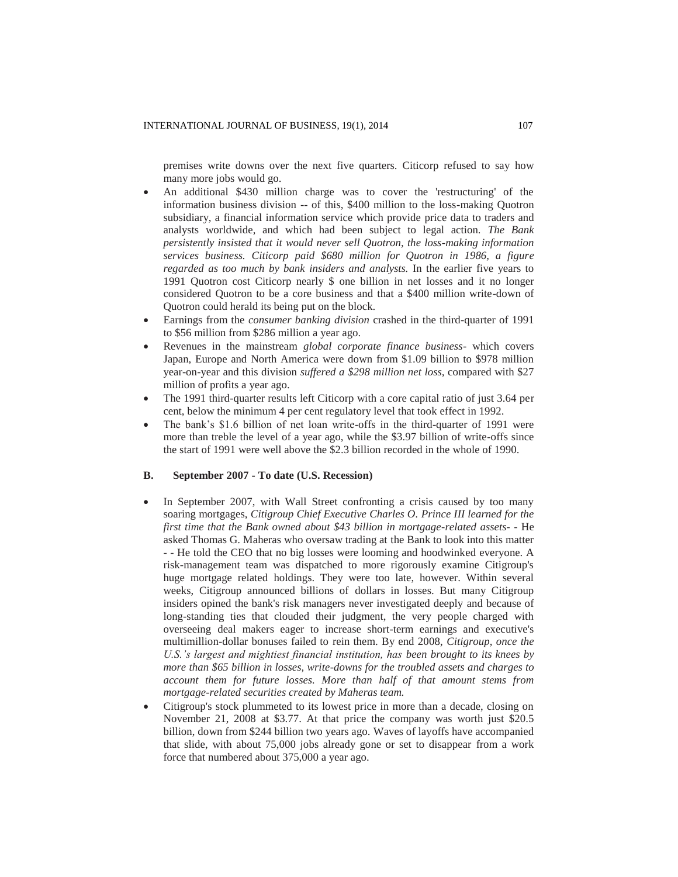premises write downs over the next five quarters. Citicorp refused to say how many more jobs would go.

- An additional \$430 million charge was to cover the 'restructuring' of the information business division -- of this, \$400 million to the loss-making Quotron subsidiary, a financial information service which provide price data to traders and analysts worldwide, and which had been subject to legal action. *The Bank persistently insisted that it would never sell Quotron, the loss-making information services business. Citicorp paid \$680 million for Quotron in 1986, a figure regarded as too much by bank insiders and analysts.* In the earlier five years to 1991 Quotron cost Citicorp nearly \$ one billion in net losses and it no longer considered Quotron to be a core business and that a \$400 million write-down of Quotron could herald its being put on the block.
- Earnings from the *consumer banking division* crashed in the third-quarter of 1991 to \$56 million from \$286 million a year ago.
- Revenues in the mainstream *global corporate finance business* which covers Japan, Europe and North America were down from \$1.09 billion to \$978 million year-on-year and this division *suffered a \$298 million net loss,* compared with \$27 million of profits a year ago.
- The 1991 third-quarter results left Citicorp with a core capital ratio of just 3.64 per cent, below the minimum 4 per cent regulatory level that took effect in 1992.
- The bank's \$1.6 billion of net loan write-offs in the third-quarter of 1991 were more than treble the level of a year ago, while the \$3.97 billion of write-offs since the start of 1991 were well above the \$2.3 billion recorded in the whole of 1990.

#### **B. September 2007 - To date (U.S. Recession)**

- In September 2007, with Wall Street confronting a crisis caused by too many soaring mortgages, *Citigroup Chief Executive Charles O. Prince III learned for the first time that the Bank owned about \$43 billion in mortgage-related assets*- - He asked Thomas G. Maheras who oversaw trading at the Bank to look into this matter - - He told the CEO that no big losses were looming and hoodwinked everyone. A risk-management team was dispatched to more rigorously examine Citigroup's huge mortgage related holdings. They were too late, however. Within several weeks, Citigroup announced billions of dollars in losses. But many Citigroup insiders opined the bank's risk managers never investigated deeply and because of long-standing ties that clouded their judgment, the very people charged with overseeing deal makers eager to increase short-term earnings and executive's multimillion-dollar bonuses failed to rein them. By end 2008, *Citigroup, once the U.S.'s largest and mightiest financial institution, has been brought to its knees by more than \$65 billion in losses, write-downs for the troubled assets and charges to account them for future losses. More than half of that amount stems from mortgage-related securities created by Maheras team.*
- Citigroup's stock plummeted to its lowest price in more than a decade, closing on November 21, 2008 at \$3.77. At that price the company was worth just \$20.5 billion, down from \$244 billion two years ago. Waves of layoffs have accompanied that slide, with about 75,000 jobs already gone or set to disappear from a work force that numbered about 375,000 a year ago.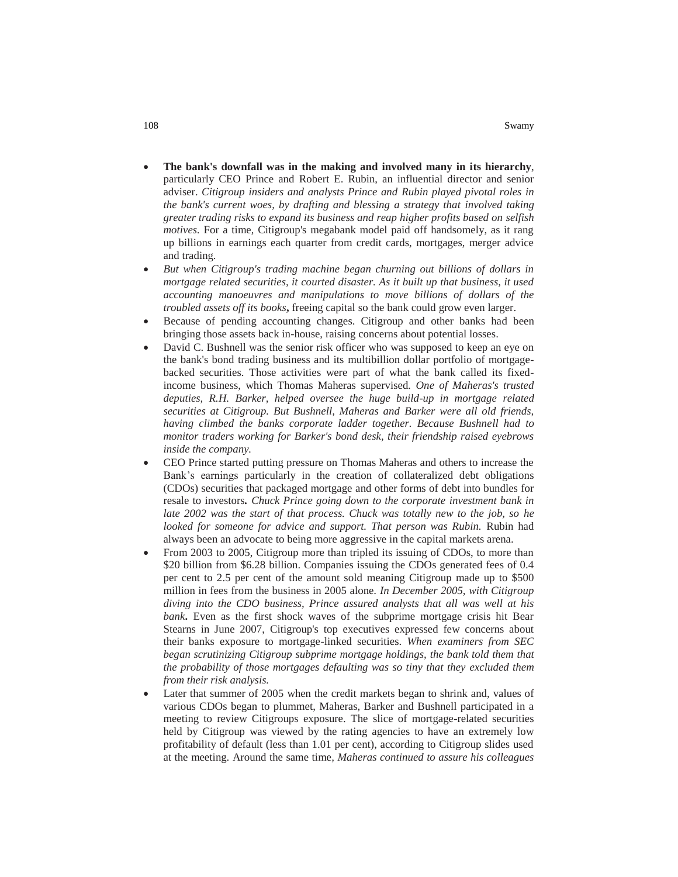- **The bank's downfall was in the making and involved many in its hierarchy**, particularly CEO Prince and Robert E. Rubin, an influential director and senior adviser. *Citigroup insiders and analysts Prince and Rubin played pivotal roles in the bank's current woes, by drafting and blessing a strategy that involved taking greater trading risks to expand its business and reap higher profits based on selfish motives.* For a time, Citigroup's megabank model paid off handsomely, as it rang up billions in earnings each quarter from credit cards, mortgages, merger advice and trading.
- *But when Citigroup's trading machine began churning out billions of dollars in mortgage related securities, it courted disaster. As it built up that business, it used accounting manoeuvres and manipulations to move billions of dollars of the troubled assets off its books***,** freeing capital so the bank could grow even larger.
- Because of pending accounting changes. Citigroup and other banks had been bringing those assets back in-house, raising concerns about potential losses.
- David C. Bushnell was the senior risk officer who was supposed to keep an eye on the bank's bond trading business and its multibillion dollar portfolio of mortgagebacked securities. Those activities were part of what the bank called its fixedincome business, which Thomas Maheras supervised*. One of Maheras's trusted deputies, R.H. Barker, helped oversee the huge build-up in mortgage related securities at Citigroup. But Bushnell, Maheras and Barker were all old friends, having climbed the banks corporate ladder together. Because Bushnell had to monitor traders working for Barker's bond desk, their friendship raised eyebrows inside the company.*
- CEO Prince started putting pressure on Thomas Maheras and others to increase the Bank's earnings particularly in the creation of collateralized debt obligations (CDOs) securities that packaged mortgage and other forms of debt into bundles for resale to investors*. Chuck Prince going down to the corporate investment bank in late 2002 was the start of that process. Chuck was totally new to the job, so he looked for someone for advice and support. That person was Rubin.* Rubin had always been an advocate to being more aggressive in the capital markets arena.
- From 2003 to 2005, Citigroup more than tripled its issuing of CDOs, to more than \$20 billion from \$6.28 billion. Companies issuing the CDOs generated fees of 0.4 per cent to 2.5 per cent of the amount sold meaning Citigroup made up to \$500 million in fees from the business in 2005 alone. *In December 2005, with Citigroup diving into the CDO business, Prince assured analysts that all was well at his bank***.** Even as the first shock waves of the subprime mortgage crisis hit Bear Stearns in June 2007, Citigroup's top executives expressed few concerns about their banks exposure to mortgage-linked securities. *When examiners from SEC began scrutinizing Citigroup subprime mortgage holdings, the bank told them that the probability of those mortgages defaulting was so tiny that they excluded them from their risk analysis.*
- Later that summer of 2005 when the credit markets began to shrink and, values of various CDOs began to plummet, Maheras, Barker and Bushnell participated in a meeting to review Citigroups exposure. The slice of mortgage-related securities held by Citigroup was viewed by the rating agencies to have an extremely low profitability of default (less than 1.01 per cent), according to Citigroup slides used at the meeting. Around the same time*, Maheras continued to assure his colleagues*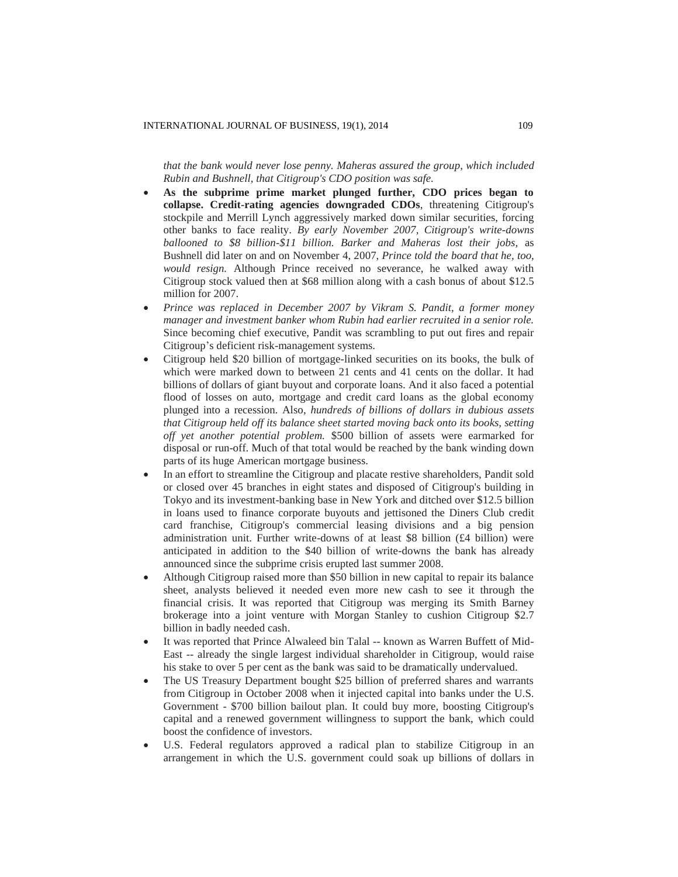*that the bank would never lose penny. Maheras assured the group, which included Rubin and Bushnell, that Citigroup's CDO position was safe.*

- **As the subprime prime market plunged further, CDO prices began to collapse. Credit-rating agencies downgraded CDOs**, threatening Citigroup's stockpile and Merrill Lynch aggressively marked down similar securities, forcing other banks to face reality. *By early November 2007, Citigroup's write-downs ballooned to \$8 billion-\$11 billion. Barker and Maheras lost their jobs,* as Bushnell did later on and on November 4, 2007, *Prince told the board that he, too, would resign.* Although Prince received no severance, he walked away with Citigroup stock valued then at \$68 million along with a cash bonus of about \$12.5 million for 2007.
- *Prince was replaced in December 2007 by Vikram S. Pandit, a former money manager and investment banker whom Rubin had earlier recruited in a senior role.* Since becoming chief executive, Pandit was scrambling to put out fires and repair Citigroup's deficient risk-management systems.
- Citigroup held \$20 billion of mortgage-linked securities on its books, the bulk of which were marked down to between 21 cents and 41 cents on the dollar. It had billions of dollars of giant buyout and corporate loans. And it also faced a potential flood of losses on auto, mortgage and credit card loans as the global economy plunged into a recession. Also, *hundreds of billions of dollars in dubious assets that Citigroup held off its balance sheet started moving back onto its books, setting off yet another potential problem.* \$500 billion of assets were earmarked for disposal or run-off. Much of that total would be reached by the bank winding down parts of its huge American mortgage business.
- In an effort to streamline the Citigroup and placate restive shareholders, Pandit sold or closed over 45 branches in eight states and disposed of Citigroup's building in Tokyo and its investment-banking base in New York and ditched over \$12.5 billion in loans used to finance corporate buyouts and jettisoned the Diners Club credit card franchise, Citigroup's commercial leasing divisions and a big pension administration unit. Further write-downs of at least \$8 billion  $(f4$  billion) were anticipated in addition to the \$40 billion of write-downs the bank has already announced since the subprime crisis erupted last summer 2008.
- Although Citigroup raised more than \$50 billion in new capital to repair its balance sheet, analysts believed it needed even more new cash to see it through the financial crisis. It was reported that Citigroup was merging its Smith Barney brokerage into a joint venture with Morgan Stanley to cushion Citigroup \$2.7 billion in badly needed cash.
- It was reported that Prince Alwaleed bin Talal -- known as Warren Buffett of Mid-East -- already the single largest individual shareholder in Citigroup, would raise his stake to over 5 per cent as the bank was said to be dramatically undervalued.
- The US Treasury Department bought \$25 billion of preferred shares and warrants from Citigroup in October 2008 when it injected capital into banks under the U.S. Government - \$700 billion bailout plan. It could buy more, boosting Citigroup's capital and a renewed government willingness to support the bank, which could boost the confidence of investors.
- U.S. Federal regulators approved a radical plan to stabilize Citigroup in an arrangement in which the U.S. government could soak up billions of dollars in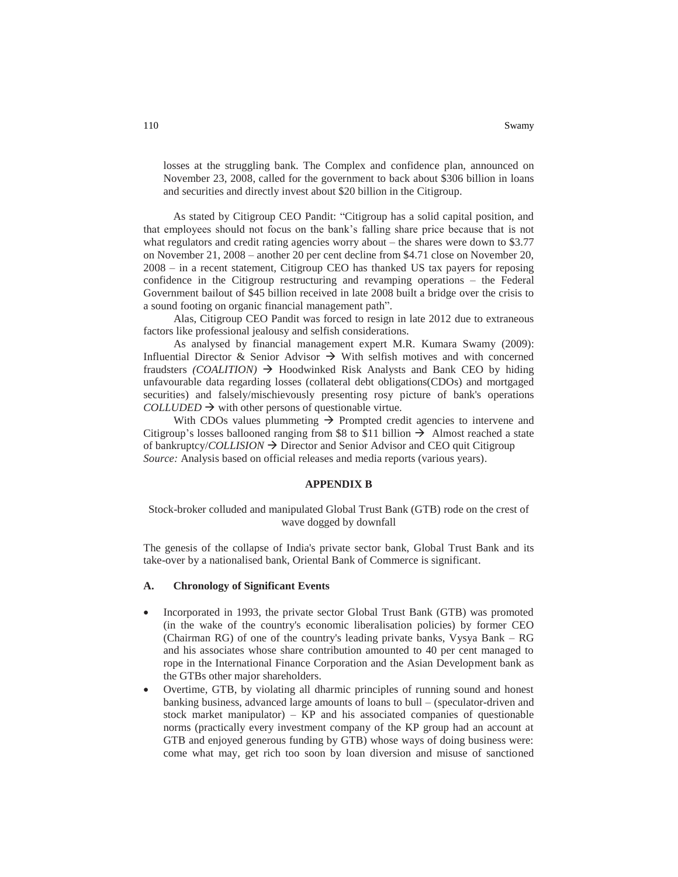losses at the struggling bank. The Complex and confidence plan, announced on November 23, 2008, called for the government to back about \$306 billion in loans and securities and directly invest about \$20 billion in the Citigroup.

As stated by Citigroup CEO Pandit: "Citigroup has a solid capital position, and that employees should not focus on the bank's falling share price because that is not what regulators and credit rating agencies worry about – the shares were down to \$3.77 on November 21, 2008 – another 20 per cent decline from \$4.71 close on November 20, 2008 – in a recent statement, Citigroup CEO has thanked US tax payers for reposing confidence in the Citigroup restructuring and revamping operations – the Federal Government bailout of \$45 billion received in late 2008 built a bridge over the crisis to a sound footing on organic financial management path".

Alas, Citigroup CEO Pandit was forced to resign in late 2012 due to extraneous factors like professional jealousy and selfish considerations.

As analysed by financial management expert M.R. Kumara Swamy (2009): Influential Director & Senior Advisor  $\rightarrow$  With selfish motives and with concerned fraudsters  $(COALITION)$   $\rightarrow$  Hoodwinked Risk Analysts and Bank CEO by hiding unfavourable data regarding losses (collateral debt obligations(CDOs) and mortgaged securities) and falsely/mischievously presenting rosy picture of bank's operations  $COLLUDED \rightarrow$  with other persons of questionable virtue.

With CDOs values plummeting  $\rightarrow$  Prompted credit agencies to intervene and Citigroup's losses ballooned ranging from \$8 to \$11 billion  $\rightarrow$  Almost reached a state of bankruptcy/*COLLISION* Director and Senior Advisor and CEO quit Citigroup *Source:* Analysis based on official releases and media reports (various years).

#### **APPENDIX B**

## Stock-broker colluded and manipulated Global Trust Bank (GTB) rode on the crest of wave dogged by downfall

The genesis of the collapse of India's private sector bank, Global Trust Bank and its take-over by a nationalised bank, Oriental Bank of Commerce is significant.

#### **A. Chronology of Significant Events**

- Incorporated in 1993, the private sector Global Trust Bank (GTB) was promoted (in the wake of the country's economic liberalisation policies) by former CEO (Chairman RG) of one of the country's leading private banks, Vysya Bank – RG and his associates whose share contribution amounted to 40 per cent managed to rope in the International Finance Corporation and the Asian Development bank as the GTBs other major shareholders.
- Overtime, GTB, by violating all dharmic principles of running sound and honest banking business, advanced large amounts of loans to bull – (speculator-driven and stock market manipulator) –  $KP$  and his associated companies of questionable norms (practically every investment company of the KP group had an account at GTB and enjoyed generous funding by GTB) whose ways of doing business were: come what may, get rich too soon by loan diversion and misuse of sanctioned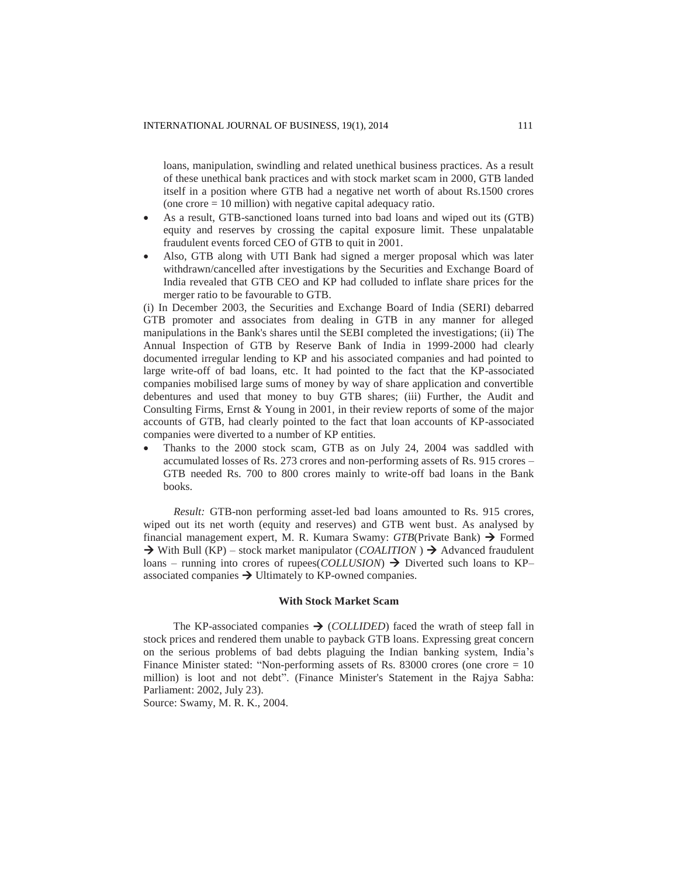loans, manipulation, swindling and related unethical business practices. As a result of these unethical bank practices and with stock market scam in 2000, GTB landed itself in a position where GTB had a negative net worth of about Rs.1500 crores (one  $\text{core} = 10$  million) with negative capital adequacy ratio.

- As a result, GTB-sanctioned loans turned into bad loans and wiped out its (GTB) equity and reserves by crossing the capital exposure limit. These unpalatable fraudulent events forced CEO of GTB to quit in 2001.
- Also, GTB along with UTI Bank had signed a merger proposal which was later withdrawn/cancelled after investigations by the Securities and Exchange Board of India revealed that GTB CEO and KP had colluded to inflate share prices for the merger ratio to be favourable to GTB.

(i) In December 2003, the Securities and Exchange Board of India (SERI) debarred GTB promoter and associates from dealing in GTB in any manner for alleged manipulations in the Bank's shares until the SEBI completed the investigations; (ii) The Annual Inspection of GTB by Reserve Bank of India in 1999-2000 had clearly documented irregular lending to KP and his associated companies and had pointed to large write-off of bad loans, etc. It had pointed to the fact that the KP-associated companies mobilised large sums of money by way of share application and convertible debentures and used that money to buy GTB shares; (iii) Further, the Audit and Consulting Firms, Ernst & Young in 2001, in their review reports of some of the major accounts of GTB, had clearly pointed to the fact that loan accounts of KP-associated companies were diverted to a number of KP entities.

 Thanks to the 2000 stock scam, GTB as on July 24, 2004 was saddled with accumulated losses of Rs. 273 crores and non-performing assets of Rs. 915 crores – GTB needed Rs. 700 to 800 crores mainly to write-off bad loans in the Bank books.

*Result:* GTB-non performing asset-led bad loans amounted to Rs. 915 crores, wiped out its net worth (equity and reserves) and GTB went bust. As analysed by financial management expert, M. R. Kumara Swamy:  $GTB$ (Private Bank)  $\rightarrow$  Formed → With Bull (KP) – stock market manipulator (*COALITION*) → Advanced fraudulent loans – running into crores of rupees(*COLLUSION*)  $\rightarrow$  Diverted such loans to KP– associated companies Ultimately to KP-owned companies.

## **With Stock Market Scam**

The KP-associated companies  $\rightarrow$  (*COLLIDED*) faced the wrath of steep fall in stock prices and rendered them unable to payback GTB loans. Expressing great concern on the serious problems of bad debts plaguing the Indian banking system, India's Finance Minister stated: "Non-performing assets of Rs. 83000 crores (one crore = 10 million) is loot and not debt". (Finance Minister's Statement in the Rajya Sabha: Parliament: 2002, July 23).

Source: Swamy, M. R. K., 2004.